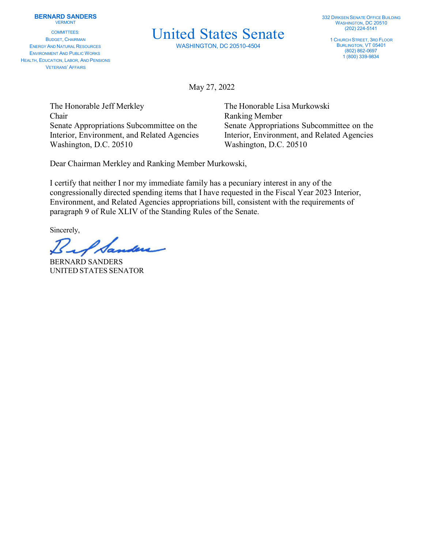COMMITTEES: BUDGET, CHAIRMAN ENERGY AND NATURAL RESOURCES ENVIRONMENT AND PUBLIC WORKS HEALTH, EDUCATION, LABOR, AND PENSIONS VETERANS' AFFAIRS

## United States Senate

WASHINGTON, DC 20510-4504

1 CHURCH STREET, 3RD FLOOR BURLINGTON, VT 05401 (802) 862-0697 1 (800) 339-9834

May 27, 2022

The Honorable Jeff Merkley The Honorable Lisa Murkowski Chair Ranking Member Washington, D.C. 20510 Washington, D.C. 20510

Senate Appropriations Subcommittee on the Senate Appropriations Subcommittee on the Interior, Environment, and Related Agencies Interior, Environment, and Related Agencies

Dear Chairman Merkley and Ranking Member Murkowski,

I certify that neither I nor my immediate family has a pecuniary interest in any of the congressionally directed spending items that I have requested in the Fiscal Year 2023 Interior, Environment, and Related Agencies appropriations bill, consistent with the requirements of paragraph 9 of Rule XLIV of the Standing Rules of the Senate.

Sincerely,

BERNARD SANDERS UNITED STATES SENATOR